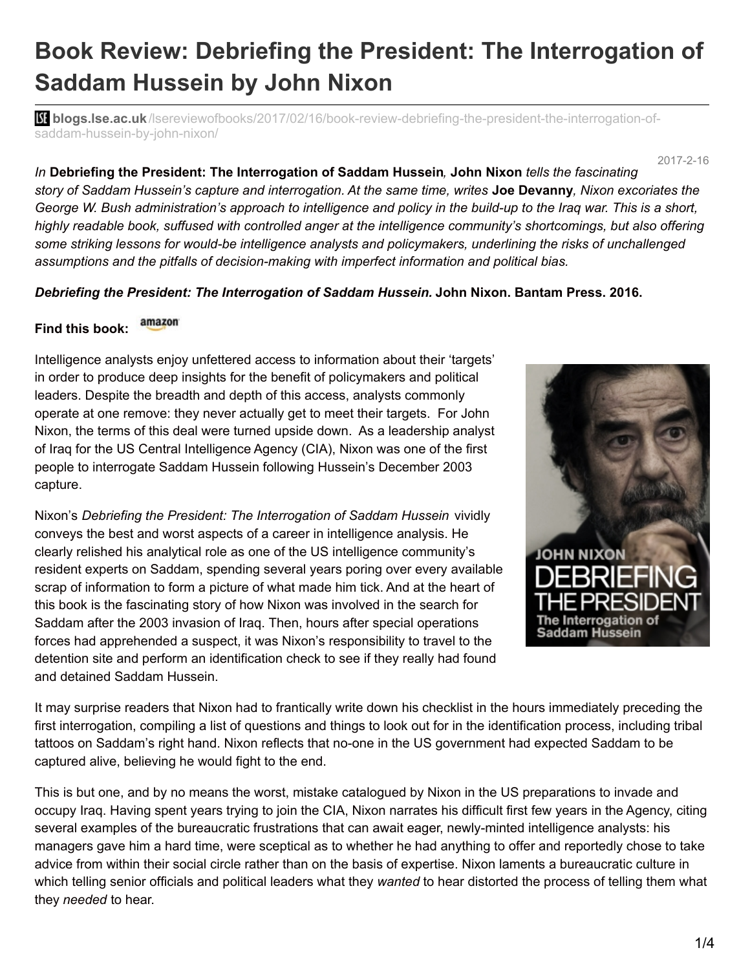## **Book Review: Debriefing the President: The Interrogation of Saddam Hussein by John Nixon**

**blogs.lse.ac.uk**[/lsereviewofbooks/2017/02/16/book-review-debriefing-the-president-the-interrogation-of](http://blogs.lse.ac.uk/lsereviewofbooks/2017/02/16/book-review-debriefing-the-president-the-interrogation-of-saddam-hussein-by-john-nixon/)saddam-hussein-by-john-nixon/

2017-2-16

*In* **Debriefing the President: The Interrogation of Saddam Hussein***,* **John Nixon** *tells the fascinating* story of Saddam Hussein's capture and interrogation. At the same time, writes **Joe Devanny**, Nixon excoriates the George W. Bush administration's approach to intelligence and policy in the build-up to the Iraq war. This is a short, *highly readable book, suffused with controlled anger at the intelligence community's shortcomings, but also offering some striking lessons for would-be intelligence analysts and policymakers, underlining the risks of unchallenged assumptions and the pitfalls of decision-making with imperfect information and political bias.*

## *Debriefing the President: The Interrogation of Saddam Hussein.* **John Nixon. Bantam Press. 2016.**

## amazon **Find this book:**

Intelligence analysts enjoy unfettered access to information about their 'targets' in order to produce deep insights for the benefit of policymakers and political leaders. Despite the breadth and depth of this access, analysts commonly operate at one remove: they never actually get to meet their targets. For John Nixon, the terms of this deal were turned upside down. As a leadership analyst of Iraq for the US Central Intelligence Agency (CIA), Nixon was one of the first people to interrogate Saddam Hussein following Hussein's December 2003 capture.

Nixon's *Debriefing the President: The Interrogation of Saddam Hussein* vividly conveys the best and worst aspects of a career in intelligence analysis. He clearly relished his analytical role as one of the US intelligence community's resident experts on Saddam, spending several years poring over every available scrap of information to form a picture of what made him tick. And at the heart of this book is the fascinating story of how Nixon was involved in the search for Saddam after the 2003 invasion of Iraq. Then, hours after special operations forces had apprehended a suspect, it was Nixon's responsibility to travel to the detention site and perform an identification check to see if they really had found and detained Saddam Hussein.



It may surprise readers that Nixon had to frantically write down his checklist in the hours immediately preceding the first interrogation, compiling a list of questions and things to look out for in the identification process, including tribal tattoos on Saddam's right hand. Nixon reflects that no-one in the US government had expected Saddam to be captured alive, believing he would fight to the end.

This is but one, and by no means the worst, mistake catalogued by Nixon in the US preparations to invade and occupy Iraq. Having spent years trying to join the CIA, Nixon narrates his difficult first few years in the Agency, citing several examples of the bureaucratic frustrations that can await eager, newly-minted intelligence analysts: his managers gave him a hard time, were sceptical as to whether he had anything to offer and reportedly chose to take advice from within their social circle rather than on the basis of expertise. Nixon laments a bureaucratic culture in which telling senior officials and political leaders what they *wanted* to hear distorted the process of telling them what they *needed* to hear.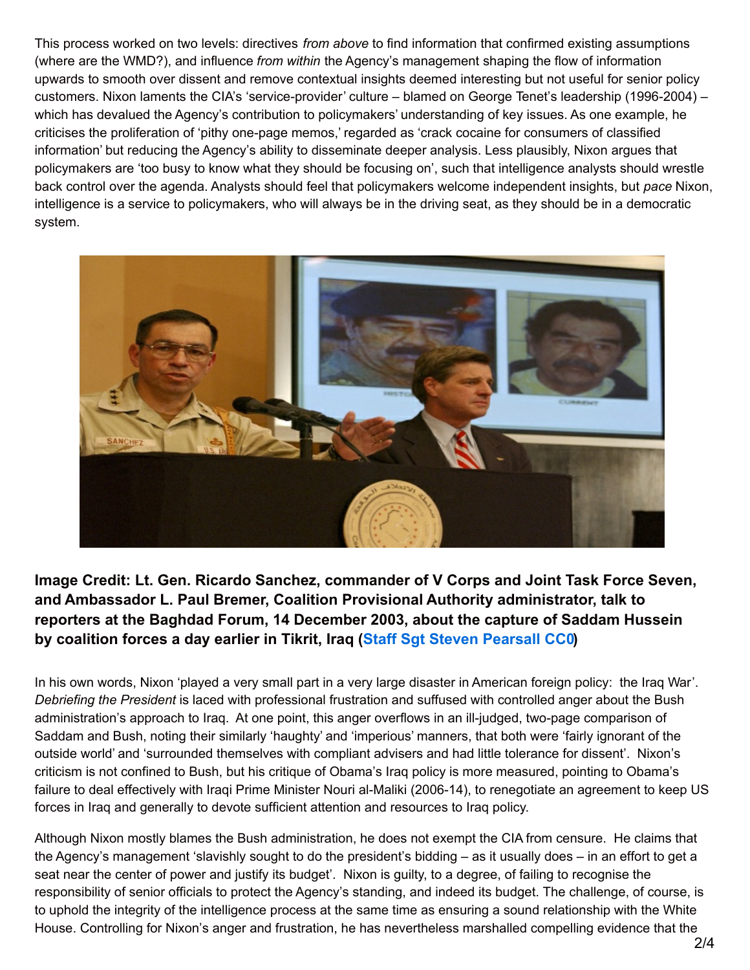This process worked on two levels: directives *from above* to find information that confirmed existing assumptions (where are the WMD?), and influence *from within* the Agency's management shaping the flow of information upwards to smooth over dissent and remove contextual insights deemed interesting but not useful for senior policy customers. Nixon laments the CIA's 'service-provider' culture – blamed on George Tenet's leadership (1996-2004) – which has devalued the Agency's contribution to policymakers' understanding of key issues. As one example, he criticises the proliferation of 'pithy one-page memos,' regarded as 'crack cocaine for consumers of classified information' but reducing the Agency's ability to disseminate deeper analysis. Less plausibly, Nixon argues that policymakers are 'too busy to know what they should be focusing on', such that intelligence analysts should wrestle back control over the agenda. Analysts should feel that policymakers welcome independent insights, but *pace* Nixon, intelligence is a service to policymakers, who will always be in the driving seat, as they should be in a democratic system.



**Image Credit: Lt. Gen. Ricardo Sanchez, commander of V Corps and Joint Task Force Seven, and Ambassador L. Paul Bremer, Coalition Provisional Authority administrator, talk to reporters at the Baghdad Forum, 14 December 2003, about the capture of Saddam Hussein by coalition forces a day earlier in Tikrit, Iraq (Staff Sgt Steven [Pearsall](https://www.flickr.com/photos/usarmyeurope_images/5260511071/) CC0)**

In his own words, Nixon 'played a very small part in a very large disaster in American foreign policy: the Iraq War'. *Debriefing the President* is laced with professional frustration and suffused with controlled anger about the Bush administration's approach to Iraq. At one point, this anger overflows in an ill-judged, two-page comparison of Saddam and Bush, noting their similarly 'haughty' and 'imperious' manners, that both were 'fairly ignorant of the outside world' and 'surrounded themselves with compliant advisers and had little tolerance for dissent'. Nixon's criticism is not confined to Bush, but his critique of Obama's Iraq policy is more measured, pointing to Obama's failure to deal effectively with Iraqi Prime Minister Nouri al-Maliki (2006-14), to renegotiate an agreement to keep US forces in Iraq and generally to devote sufficient attention and resources to Iraq policy.

Although Nixon mostly blames the Bush administration, he does not exempt the CIA from censure. He claims that the Agency's management 'slavishly sought to do the president's bidding – as it usually does – in an effort to get a seat near the center of power and justify its budget'. Nixon is guilty, to a degree, of failing to recognise the responsibility of senior officials to protect the Agency's standing, and indeed its budget. The challenge, of course, is to uphold the integrity of the intelligence process at the same time as ensuring a sound relationship with the White House. Controlling for Nixon's anger and frustration, he has nevertheless marshalled compelling evidence that the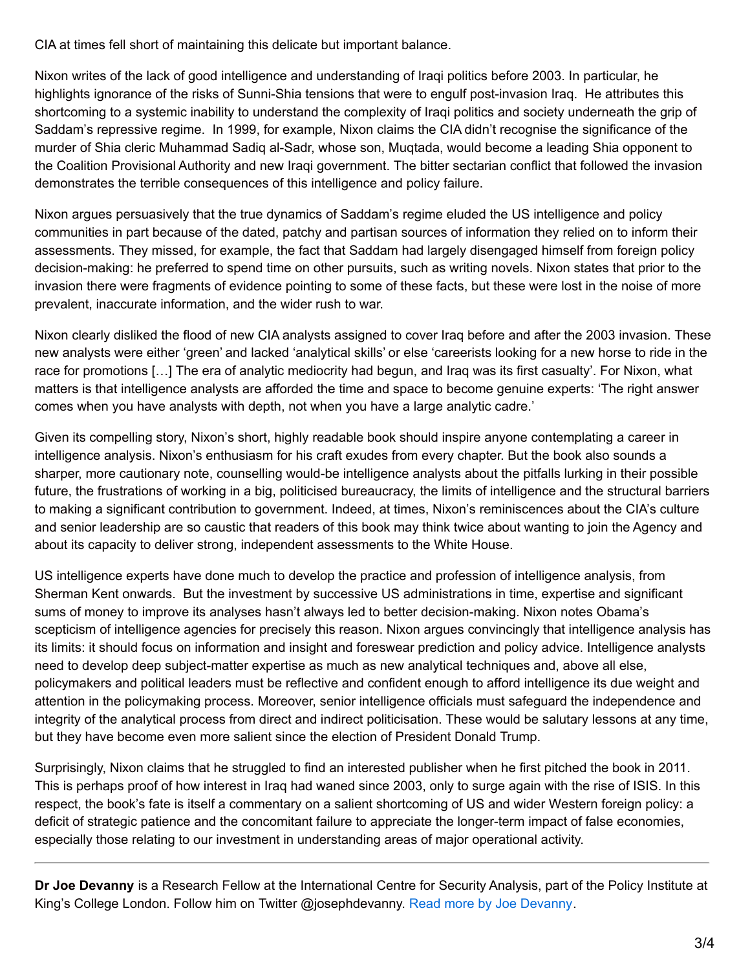CIA at times fell short of maintaining this delicate but important balance.

Nixon writes of the lack of good intelligence and understanding of Iraqi politics before 2003. In particular, he highlights ignorance of the risks of Sunni-Shia tensions that were to engulf post-invasion Iraq. He attributes this shortcoming to a systemic inability to understand the complexity of Iraqi politics and society underneath the grip of Saddam's repressive regime. In 1999, for example, Nixon claims the CIA didn't recognise the significance of the murder of Shia cleric Muhammad Sadiq al-Sadr, whose son, Muqtada, would become a leading Shia opponent to the Coalition Provisional Authority and new Iraqi government. The bitter sectarian conflict that followed the invasion demonstrates the terrible consequences of this intelligence and policy failure.

Nixon argues persuasively that the true dynamics of Saddam's regime eluded the US intelligence and policy communities in part because of the dated, patchy and partisan sources of information they relied on to inform their assessments. They missed, for example, the fact that Saddam had largely disengaged himself from foreign policy decision-making: he preferred to spend time on other pursuits, such as writing novels. Nixon states that prior to the invasion there were fragments of evidence pointing to some of these facts, but these were lost in the noise of more prevalent, inaccurate information, and the wider rush to war.

Nixon clearly disliked the flood of new CIA analysts assigned to cover Iraq before and after the 2003 invasion. These new analysts were either 'green' and lacked 'analytical skills' or else 'careerists looking for a new horse to ride in the race for promotions […] The era of analytic mediocrity had begun, and Iraq was its first casualty'. For Nixon, what matters is that intelligence analysts are afforded the time and space to become genuine experts: 'The right answer comes when you have analysts with depth, not when you have a large analytic cadre.'

Given its compelling story, Nixon's short, highly readable book should inspire anyone contemplating a career in intelligence analysis. Nixon's enthusiasm for his craft exudes from every chapter. But the book also sounds a sharper, more cautionary note, counselling would-be intelligence analysts about the pitfalls lurking in their possible future, the frustrations of working in a big, politicised bureaucracy, the limits of intelligence and the structural barriers to making a significant contribution to government. Indeed, at times, Nixon's reminiscences about the CIA's culture and senior leadership are so caustic that readers of this book may think twice about wanting to join the Agency and about its capacity to deliver strong, independent assessments to the White House.

US intelligence experts have done much to develop the practice and profession of intelligence analysis, from Sherman Kent onwards. But the investment by successive US administrations in time, expertise and significant sums of money to improve its analyses hasn't always led to better decision-making. Nixon notes Obama's scepticism of intelligence agencies for precisely this reason. Nixon argues convincingly that intelligence analysis has its limits: it should focus on information and insight and foreswear prediction and policy advice. Intelligence analysts need to develop deep subject-matter expertise as much as new analytical techniques and, above all else, policymakers and political leaders must be reflective and confident enough to afford intelligence its due weight and attention in the policymaking process. Moreover, senior intelligence officials must safeguard the independence and integrity of the analytical process from direct and indirect politicisation. These would be salutary lessons at any time, but they have become even more salient since the election of President Donald Trump.

Surprisingly, Nixon claims that he struggled to find an interested publisher when he first pitched the book in 2011. This is perhaps proof of how interest in Iraq had waned since 2003, only to surge again with the rise of ISIS. In this respect, the book's fate is itself a commentary on a salient shortcoming of US and wider Western foreign policy: a deficit of strategic patience and the concomitant failure to appreciate the longer-term impact of false economies, especially those relating to our investment in understanding areas of major operational activity.

**Dr Joe Devanny** is a Research Fellow at the International Centre for Security Analysis, part of the Policy Institute at King's College London. Follow him on Twitter @josephdevanny. Read more by Joe [Devanny](http://blogs.lse.ac.uk/lsereviewofbooks/category/book-reviewers/joe-devanny/).